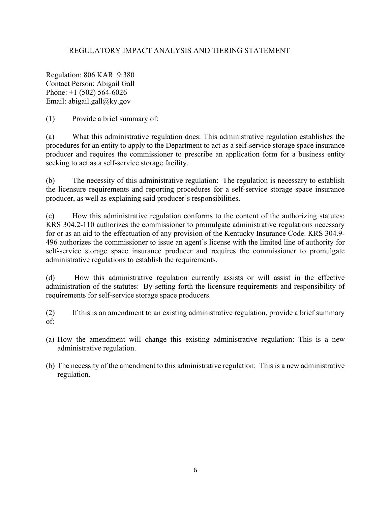## REGULATORY IMPACT ANALYSIS AND TIERING STATEMENT

Regulation: 806 KAR 9:380 Contact Person: Abigail Gall Phone: +1 (502) 564-6026 Email: abigail.gall@ky.gov

(1) Provide a brief summary of:

(a) What this administrative regulation does: This administrative regulation establishes the procedures for an entity to apply to the Department to act as a self-service storage space insurance producer and requires the commissioner to prescribe an application form for a business entity seeking to act as a self-service storage facility.

(b) The necessity of this administrative regulation: The regulation is necessary to establish the licensure requirements and reporting procedures for a self-service storage space insurance producer, as well as explaining said producer's responsibilities.

(c) How this administrative regulation conforms to the content of the authorizing statutes: KRS 304.2-110 authorizes the commissioner to promulgate administrative regulations necessary for or as an aid to the effectuation of any provision of the Kentucky Insurance Code. KRS 304.9- 496 authorizes the commissioner to issue an agent's license with the limited line of authority for self-service storage space insurance producer and requires the commissioner to promulgate administrative regulations to establish the requirements.

(d) How this administrative regulation currently assists or will assist in the effective administration of the statutes: By setting forth the licensure requirements and responsibility of requirements for self-service storage space producers.

(2) If this is an amendment to an existing administrative regulation, provide a brief summary of:

- (a) How the amendment will change this existing administrative regulation: This is a new administrative regulation.
- (b) The necessity of the amendment to this administrative regulation: This is a new administrative regulation.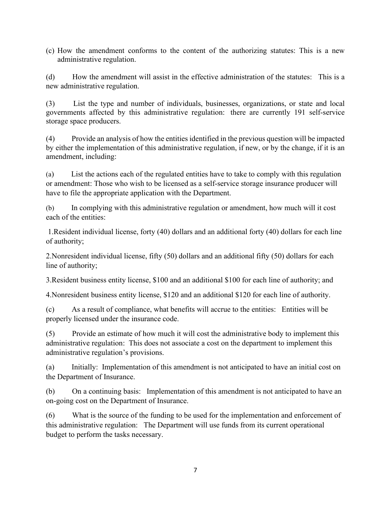(c) How the amendment conforms to the content of the authorizing statutes: This is a new administrative regulation.

(d) How the amendment will assist in the effective administration of the statutes: This is a new administrative regulation.

(3) List the type and number of individuals, businesses, organizations, or state and local governments affected by this administrative regulation: there are currently 191 self-service storage space producers.

(4) Provide an analysis of how the entities identified in the previous question will be impacted by either the implementation of this administrative regulation, if new, or by the change, if it is an amendment, including:

(a) List the actions each of the regulated entities have to take to comply with this regulation or amendment: Those who wish to be licensed as a self-service storage insurance producer will have to file the appropriate application with the Department.

(b) In complying with this administrative regulation or amendment, how much will it cost each of the entities:

1.Resident individual license, forty (40) dollars and an additional forty (40) dollars for each line of authority;

2.Nonresident individual license, fifty (50) dollars and an additional fifty (50) dollars for each line of authority;

3.Resident business entity license, \$100 and an additional \$100 for each line of authority; and

4.Nonresident business entity license, \$120 and an additional \$120 for each line of authority.

(c) As a result of compliance, what benefits will accrue to the entities: Entities will be properly licensed under the insurance code.

(5) Provide an estimate of how much it will cost the administrative body to implement this administrative regulation: This does not associate a cost on the department to implement this administrative regulation's provisions.

(a) Initially: Implementation of this amendment is not anticipated to have an initial cost on the Department of Insurance.

(b) On a continuing basis: Implementation of this amendment is not anticipated to have an on-going cost on the Department of Insurance.

(6) What is the source of the funding to be used for the implementation and enforcement of this administrative regulation: The Department will use funds from its current operational budget to perform the tasks necessary.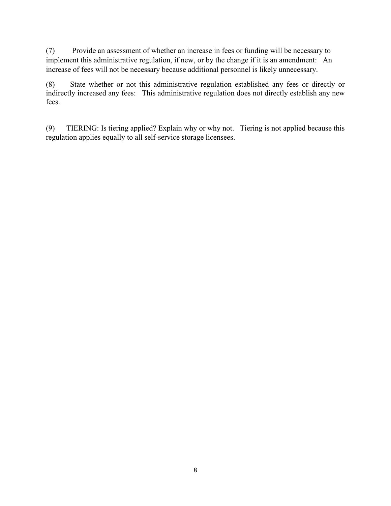(7) Provide an assessment of whether an increase in fees or funding will be necessary to implement this administrative regulation, if new, or by the change if it is an amendment: An increase of fees will not be necessary because additional personnel is likely unnecessary.

(8) State whether or not this administrative regulation established any fees or directly or indirectly increased any fees: This administrative regulation does not directly establish any new fees.

(9) TIERING: Is tiering applied? Explain why or why not. Tiering is not applied because this regulation applies equally to all self-service storage licensees.